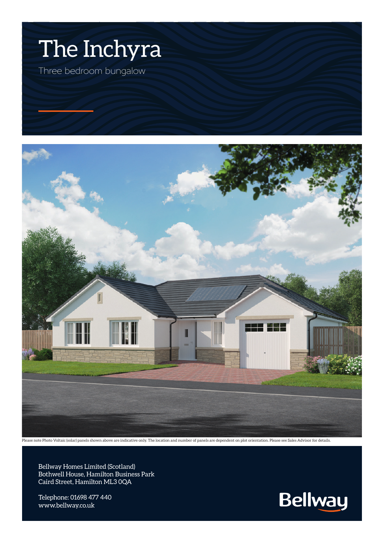



Please note Photo Voltaic (solar) panels shown above are indicative only. The location and number of panels are dependent on plot orientation. Please see Sales Advisor for details.

Bellway Homes Limited (Scotland) Bothwell House, Hamilton Business Park Caird Street, Hamilton ML3 0QA

Telephone: 01698 477 440 www.bellway.co.uk